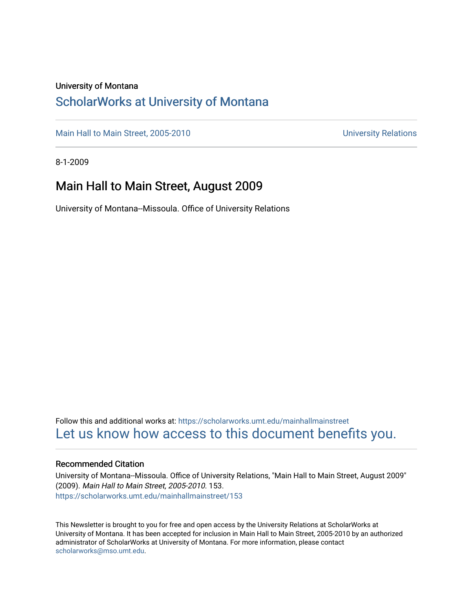### University of Montana

### [ScholarWorks at University of Montana](https://scholarworks.umt.edu/)

[Main Hall to Main Street, 2005-2010](https://scholarworks.umt.edu/mainhallmainstreet) Main Hall to Main Street, 2005-2010

8-1-2009

### Main Hall to Main Street, August 2009

University of Montana--Missoula. Office of University Relations

Follow this and additional works at: [https://scholarworks.umt.edu/mainhallmainstreet](https://scholarworks.umt.edu/mainhallmainstreet?utm_source=scholarworks.umt.edu%2Fmainhallmainstreet%2F153&utm_medium=PDF&utm_campaign=PDFCoverPages) [Let us know how access to this document benefits you.](https://goo.gl/forms/s2rGfXOLzz71qgsB2) 

#### Recommended Citation

University of Montana--Missoula. Office of University Relations, "Main Hall to Main Street, August 2009" (2009). Main Hall to Main Street, 2005-2010. 153. [https://scholarworks.umt.edu/mainhallmainstreet/153](https://scholarworks.umt.edu/mainhallmainstreet/153?utm_source=scholarworks.umt.edu%2Fmainhallmainstreet%2F153&utm_medium=PDF&utm_campaign=PDFCoverPages)

This Newsletter is brought to you for free and open access by the University Relations at ScholarWorks at University of Montana. It has been accepted for inclusion in Main Hall to Main Street, 2005-2010 by an authorized administrator of ScholarWorks at University of Montana. For more information, please contact [scholarworks@mso.umt.edu.](mailto:scholarworks@mso.umt.edu)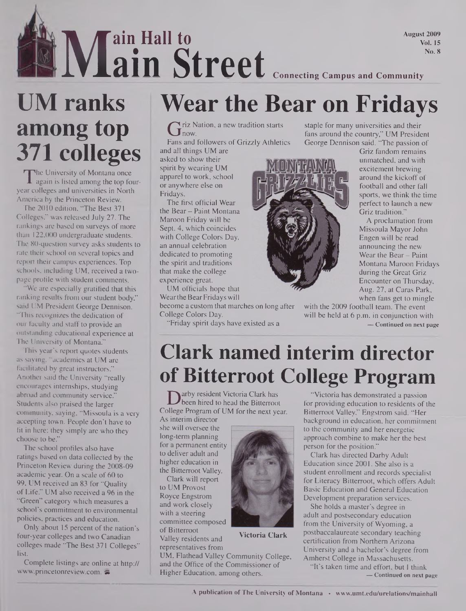**August 2009 Vol. 15**

## IE **No.8**<br>**8 Wear the Rear on Fridays ain Hall to ain Street Connecting Campus and Community**

# **UM ranks among top 371 colleges**

The University of Montana once<br>again is listed among the top four-<br>ar colleges and universities in North he University of Montana once year colleges and universities in North America by the Princeton Review.

The 2010 edition, "The Best 371 Colleges," was released July 27. The rankings are based on surveys of more than 122,000 undergraduate students. The 80-question survey asks students to rate their school on several topics and report their campus experiences. Top schools, including UM, received a twopage profile with student comments.

"We are especially gratified that this ranking results from our student body," said UM President George Dennison. "This recognizes the dedication of our faculty and staff to provide an outstanding educational experience at The University of Montana."

This year's report quotes students as saying, "academics at UM are facilitated by great instructors." Another said the University "really encourages internships, studying abroad and community service.' Students also praised the larger community, saying, "Missoula is a very accepting town. People don't have to fit in here; they simply are who they choose to be."

The school profiles also have ratings based on data collected by the Princeton Review during the 2008-09 academic year. On a scale of 60 to 99, UM received an 83 for "Quality of Life." UM also received a 96 in the "Green" category which measures a school's commitment to environmental policies, practices and education.

Only about 15 percent of the nation's four-year colleges and two Canadian colleges made "The Best 371 Colleges" list.

Complete listings are online at http:// ww.princetonreview.com. <sup>2</sup>

**Wear the Bear on Fridays**

 $G$  riz Nation, a new tradition starts<br>Fans and followers of Grizzly Athleti now.

Fans and followers of Grizzly Athletics

and all things UM are asked to show their spirit by wearing UM apparel to work, school or anywhere else on Fridays.

The first official Wear the Bear - Paint Montana Maroon Friday will be Sept. 4, which coincides with College Colors Day, an annual celebration dedicated to promoting the spirit and traditions that make the college experience great.

UM officials hope that Wear the Bear Fridays will

become a custom that marches on long after College Colors Day.

"Friday spirit days have existed as a



staple for many universities and their fans around the country," UM President George Dennison said. "The passion of

Griz fandom remains unmatched, and with excitement brewing around the kickoff of football and other fall sports, we think the time perfect to launch a new Griz tradition."

A proclamation from Missoula Mayor John Engen will be read announcing the new Wear the Bear - Paint Montana Maroon Fridays during the Great Griz Encounter on Thursday, Aug. 27, at Caras Park, when fans get to mingle

with the 2009 football team. The event will be held at 6 p.m. in conjunction with **— Continued on next page**

## **Clark named interim director of Bitterroot College Program**

Darby resident Victoria Clark has<br>been hired to head the Bitterroot for<br>pllege Program of UM for the next year. B arby resident Victoria Clark has been hired to head the Bitterroot

As interim director she will oversee the long-term planning for a permanent entity to deliver adult and higher education in the Bitterroot Valley.

Clark will report to UM Provost Royce Engstrom and work closely with a steering committee composed of Bitterroot Valley residents and representatives from



**Victoria Clark**

UM, Flathead Valley Community College, and the Office of the Commissioner of Higher Education, among others.

"Victoria has demonstrated a passion for providing education to residents of the Bitterroot Valley," Engstrom said. "Her background in education, her commitment to the community and her energetic approach combine to make her the best person for the position."

Clark has directed Darby Adult Education since 2001. She also is a student enrollment and records specialist for Literacy Bitterroot, which offers Adult Basic Education and General Education Development preparation services.

She holds a master's degree in adult and postsecondary education from the University of Wyoming, a postbaccalaureate secondary teaching certification from Northern Arizona University and a bachelor's degree from Amherst College in Massachusetts.

"It's taken time and effort, but I think **— Continued on next page**